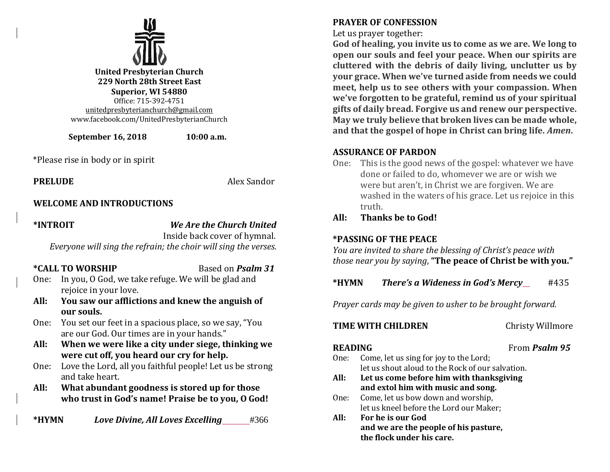

 **September 16, 2018 10:00 a.m.**

\*Please rise in body or in spirit

**PRELUDE** Alex Sandor

## **WELCOME AND INTRODUCTIONS**

**\*INTROIT** *We Are the Church United* Inside back cover of hymnal.

 *Everyone will sing the refrain; the choir will sing the verses.*

### **\*CALL TO WORSHIP** Based on *Psalm 31*

- One: In you, O God, we take refuge. We will be glad and rejoice in your love.
- **All: You saw our afflictions and knew the anguish of our souls.**
- One: You set our feet in a spacious place, so we say, "You are our God. Our times are in your hands."
- **All: When we were like a city under siege, thinking we were cut off, you heard our cry for help.**
- One: Love the Lord, all you faithful people! Let us be strong and take heart.
- **All: What abundant goodness is stored up for those who trust in God's name! Praise be to you, O God!**

| *HYMN | Love Divine, All Loves Excelling | #366 |
|-------|----------------------------------|------|
|       |                                  |      |

## **PRAYER OF CONFESSION**

Let us prayer together:

**God of healing, you invite us to come as we are. We long to open our souls and feel your peace. When our spirits are cluttered with the debris of daily living, unclutter us by your grace. When we've turned aside from needs we could meet, help us to see others with your compassion. When we've forgotten to be grateful, remind us of your spiritual gifts of daily bread. Forgive us and renew our perspective. May we truly believe that broken lives can be made whole, and that the gospel of hope in Christ can bring life.** *Amen***.**

## **ASSURANCE OF PARDON**

- One: This is the good news of the gospel: whatever we have done or failed to do, whomever we are or wish we were but aren't, in Christ we are forgiven. We are washed in the waters of his grace. Let us rejoice in this truth.
- **All: Thanks be to God!**

## **\*PASSING OF THE PEACE**

*You are invited to share the blessing of Christ's peace with those near you by saying*, **"The peace of Christ be with you."**

**\*HYMN** *There's a Wideness in God's Mercy* #435

*Prayer cards may be given to usher to be brought forward.*

**TIME WITH CHILDREN** Christy Willmore

**READING From** *Psalm 95* 

- One: Come, let us sing for joy to the Lord; let us shout aloud to the Rock of our salvation.
- **All: Let us come before him with thanksgiving and extol him with music and song.**
- One: Come, let us bow down and worship, let us kneel before the Lord our Maker;
- **All: For he is our God and we are the people of his pasture, the flock under his care.**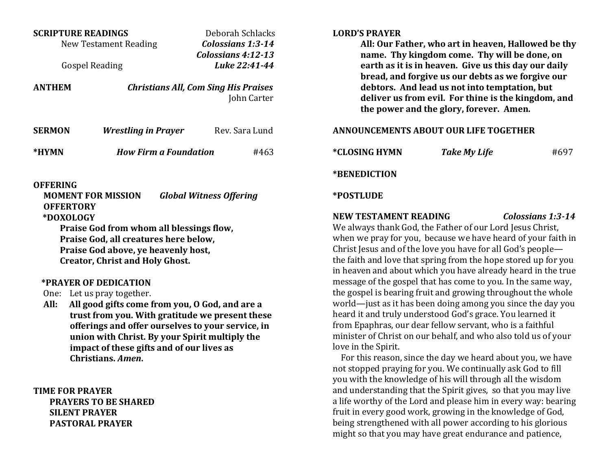| <b>SCRIPTURE READINGS</b><br>New Testament Reading<br><b>Gospel Reading</b> |                              | Deborah Schlacks<br>Colossians 1:3-14<br>Colossians 4:12-13<br><b>Luke 22:41-44</b> |  |
|-----------------------------------------------------------------------------|------------------------------|-------------------------------------------------------------------------------------|--|
| <b>ANTHEM</b>                                                               |                              | <b>Christians All, Com Sing His Praises</b><br>John Carter                          |  |
| <b>SERMON</b>                                                               | Wrestling in Prayer          | Rev. Sara Lund                                                                      |  |
|                                                                             | <b>How Firm a Foundation</b> | #463                                                                                |  |

### **OFFERING**

 **MOMENT FOR MISSION** *Global Witness Offering*  **OFFERTORY \*DOXOLOGY Praise God from whom all blessings flow, Praise God, all creatures here below, Praise God above, ye heavenly host, Creator, Christ and Holy Ghost.**

## **\*PRAYER OF DEDICATION**

One: Let us pray together.

 **All: All good gifts come from you, O God, and are a trust from you. With gratitude we present these offerings and offer ourselves to your service, in union with Christ. By your Spirit multiply the impact of these gifts and of our lives as Christians.** *Amen***.**

**TIME FOR PRAYER PRAYERS TO BE SHARED SILENT PRAYER PASTORAL PRAYER**

### **LORD'S PRAYER**

**All: Our Father, who art in heaven, Hallowed be thy name. Thy kingdom come. Thy will be done, on earth as it is in heaven. Give us this day our daily bread, and forgive us our debts as we forgive our debtors. And lead us not into temptation, but deliver us from evil. For thine is the kingdom, and the power and the glory, forever. Amen.**

## **ANNOUNCEMENTS ABOUT OUR LIFE TOGETHER**

| *CLOSING HYMN | <b>Take My Life</b> | #697 |
|---------------|---------------------|------|
|               |                     |      |

### **\*BENEDICTION**

### **\*POSTLUDE**

## **NEW TESTAMENT READING** *Colossians 1:3-14*

We always thank God, the Father of our Lord Jesus Christ, when we pray for you, because we have heard of your faith in Christ Jesus and of the love you have for all God's people the faith and love that spring from the hope stored up for you in heaven and about which you have already heard in the true message of the gospel that has come to you. In the same way, the gospel is bearing fruit and growing throughout the whole world—just as it has been doing among you since the day you heard it and truly understood God's grace. You learned it from Epaphras, our dear fellow servant, who is a faithful minister of Christ on our behalf, and who also told us of your love in the Spirit.

 For this reason, since the day we heard about you, we have not stopped praying for you. We continually ask God to fill you with the knowledge of his will through all the wisdom and understanding that the Spirit gives, so that you may live a life worthy of the Lord and please him in every way: bearing fruit in every good work, growing in the knowledge of God, being strengthened with all power according to his glorious might so that you may have great endurance and patience,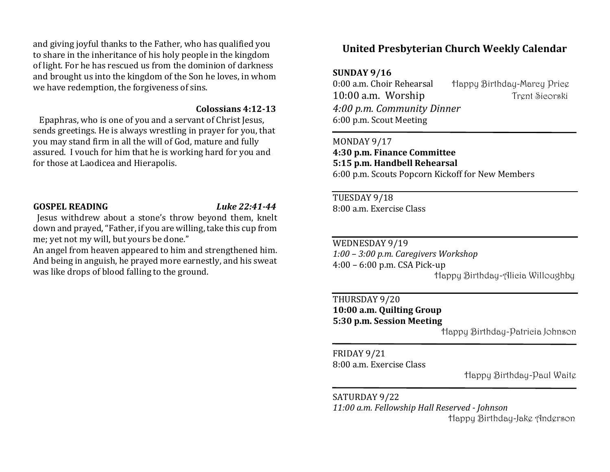and giving joyful thanks to the Father, who has qualified you to share in the inheritance of his holy people in the kingdom of light. For he has rescued us from the dominion of darkness and brought us into the kingdom of the Son he loves, in whom we have redemption, the forgiveness of sins.

## **Colossians 4:12-13**

 Epaphras, who is one of you and a servant of Christ Jesus, sends greetings. He is always wrestling in prayer for you, that you may stand firm in all the will of God, mature and fully assured. I vouch for him that he is working hard for you and for those at Laodicea and Hierapolis.

### **GOSPEL READING** *Luke 22:41-44*

 Jesus withdrew about a stone's throw beyond them, knelt down and prayed, "Father, if you are willing, take this cup from me; yet not my will, but yours be done."

An angel from heaven appeared to him and strengthened him. And being in anguish, he prayed more earnestly, and his sweat was like drops of blood falling to the ground.

# **United Presbyterian Church Weekly Calendar**

### **SUNDAY 9/16**

0:00 a.m. Choir Rehearsal Happy Birthday-Marcy Price **10:00 a.m. Worship The Trent Sicorski** *4:00 p.m. Community Dinner* 6:00 p.m. Scout Meeting 

MONDAY 9/17

### **4:30 p.m. Finance Committee 5:15 p.m. Handbell Rehearsal**

6:00 p.m. Scouts Popcorn Kickoff for New Members

TUESDAY 9/18 8:00 a.m. Exercise Class

WEDNESDAY 9/19

*1:00 – 3:00 p.m. Caregivers Workshop* 4:00 – 6:00 p.m. CSA Pick-up Happy Birthday-Alicia Willoughby

THURSDAY 9/20 **10:00 a.m. Quilting Group 5:30 p.m. Session Meeting**

 $\overline{a}$ 

Happy Birthday-Patricia Johnson

FRIDAY 9/21 8:00 a.m. Exercise Class

Happy Birthday-Paul Waite

SATURDAY 9/22 *11:00 a.m. Fellowship Hall Reserved - Johnson* Happy Birthday-Jake Anderson